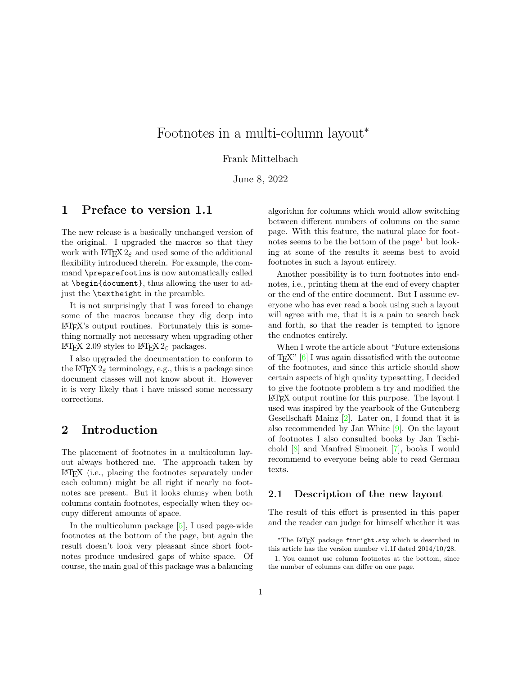# <span id="page-0-1"></span>Footnotes in a multi-column layout<sup>∗</sup>

Frank Mittelbach

June 8, 2022

## 1 Preface to version 1.1

The new release is a basically unchanged version of the original. I upgraded the macros so that they work with  $\text{LATEX } 2_{\varepsilon}$  and used some of the additional flexibility introduced therein. For example, the command \preparefootins is now automatically called at \begin{document}, thus allowing the user to adjust the \textheight in the preamble.

It is not surprisingly that I was forced to change some of the macros because they dig deep into LATEX's output routines. Fortunately this is something normally not necessary when upgrading other LAT<sub>E</sub>X 2.09 styles to LAT<sub>E</sub>X  $2\varepsilon$  packages.

I also upgraded the documentation to conform to the LAT<sub>EX</sub>  $2 \epsilon$  terminology, e.g., this is a package since document classes will not know about it. However it is very likely that i have missed some necessary corrections.

## 2 Introduction

The placement of footnotes in a multicolumn layout always bothered me. The approach taken by LATEX (i.e., placing the footnotes separately under each column) might be all right if nearly no footnotes are present. But it looks clumsy when both columns contain footnotes, especially when they occupy different amounts of space.

In the multicolumn package [\[5\]](#page-8-0), I used page-wide footnotes at the bottom of the page, but again the result doesn't look very pleasant since short footnotes produce undesired gaps of white space. Of course, the main goal of this package was a balancing

algorithm for columns which would allow switching between different numbers of columns on the same page. With this feature, the natural place for foot-notes seems to be the bottom of the page<sup>[1](#page-0-0)</sup> but looking at some of the results it seems best to avoid footnotes in such a layout entirely.

Another possibility is to turn footnotes into endnotes, i.e., printing them at the end of every chapter or the end of the entire document. But I assume everyone who has ever read a book using such a layout will agree with me, that it is a pain to search back and forth, so that the reader is tempted to ignore the endnotes entirely.

When I wrote the article about "Future extensions of TEX" [\[6\]](#page-8-1) I was again dissatisfied with the outcome of the footnotes, and since this article should show certain aspects of high quality typesetting, I decided to give the footnote problem a try and modified the LATEX output routine for this purpose. The layout I used was inspired by the yearbook of the Gutenberg Gesellschaft Mainz [\[2\]](#page-7-0). Later on, I found that it is also recommended by Jan White [\[9\]](#page-8-2). On the layout of footnotes I also consulted books by Jan Tschichold [\[8\]](#page-8-3) and Manfred Simoneit [\[7\]](#page-8-4), books I would recommend to everyone being able to read German texts.

### 2.1 Description of the new layout

The result of this effort is presented in this paper and the reader can judge for himself whether it was

<sup>∗</sup>The LATEX package ftnright.sty which is described in this article has the version number v1.1f dated 2014/10/28.

<span id="page-0-0"></span>1. You cannot use column footnotes at the bottom, since the number of columns can differ on one page.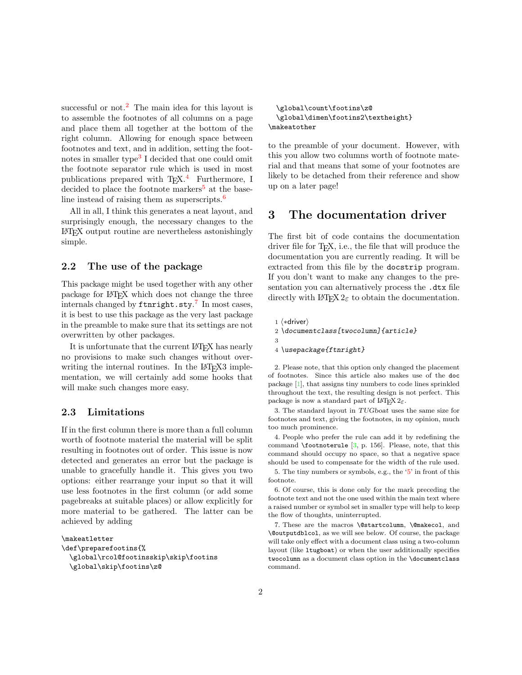<span id="page-1-8"></span>successful or not.<sup>[2](#page-1-0)</sup> The main idea for this layout is to assemble the footnotes of all columns on a page and place them all together at the bottom of the right column. Allowing for enough space between footnotes and text, and in addition, setting the foot-notes in smaller type<sup>[3](#page-1-1)</sup> I decided that one could omit the footnote separator rule which is used in most publications prepared with  $T_F X$ .<sup>[4](#page-1-2)</sup> Furthermore, I decided to place the footnote markers<sup>[5](#page-1-3)</sup> at the base-line instead of raising them as superscripts.<sup>[6](#page-1-4)</sup>

All in all, I think this generates a neat layout, and surprisingly enough, the necessary changes to the LATEX output routine are nevertheless astonishingly simple.

### 2.2 The use of the package

This package might be used together with any other package for LATEX which does not change the three internals changed by ftnright.sty. [7](#page-1-5) In most cases, it is best to use this package as the very last package in the preamble to make sure that its settings are not overwritten by other packages.

It is unfortunate that the current LAT<sub>EX</sub> has nearly no provisions to make such changes without overwriting the internal routines. In the LAT<sub>E</sub>X3 implementation, we will certainly add some hooks that will make such changes more easy.

### 2.3 Limitations

If in the first column there is more than a full column worth of footnote material the material will be split resulting in footnotes out of order. This issue is now detected and generates an error but the package is unable to gracefully handle it. This gives you two options: either rearrange your input so that it will use less footnotes in the first column (or add some pagebreaks at suitable places) or allow explicitly for more material to be gathered. The latter can be achieved by adding

```
\makeatletter
\def\preparefootins{%
  \global\rcol@footinsskip\skip\footins
  \global\skip\footins\z@
```
\global\count\footins\z@ \global\dimen\footins2\textheight} \makeatother

to the preamble of your document. However, with this you allow two columns worth of footnote material and that means that some of your footnotes are likely to be detached from their reference and show up on a later page!

## 3 The documentation driver

The first bit of code contains the documentation driver file for T<sub>E</sub>X, i.e., the file that will produce the documentation you are currently reading. It will be extracted from this file by the docstrip program. If you don't want to make any changes to the presentation you can alternatively process the .dtx file directly with  $\text{LATEX } 2\varepsilon$  to obtain the documentation.

```
1 ⟨∗driver⟩
2 \documentclass[twocolumn]{article}
3
```

```
4 \usepackage{ftnright}
```
<span id="page-1-0"></span>2. Please note, that this option only changed the placement of footnotes. Since this article also makes use of the doc package [\[1\]](#page-7-1), that assigns tiny numbers to code lines sprinkled throughout the text, the resulting design is not perfect. This package is now a standard part of  $\text{LATEX } 2\varepsilon$ .

<span id="page-1-1"></span>3. The standard layout in TUGboat uses the same size for footnotes and text, giving the footnotes, in my opinion, much too much prominence.

<span id="page-1-2"></span>4. People who prefer the rule can add it by redefining the command  $\footnotesize\big\}$  cotnoterule  $[3, p. 156]$  $[3, p. 156]$ . Please, note, that this command should occupy no space, so that a negative space should be used to compensate for the width of the rule used.

<span id="page-1-3"></span>5. The tiny numbers or symbols, e.g., the ['5'](#page-1-3) in front of this footnote.

<span id="page-1-4"></span>6. Of course, this is done only for the mark preceding the footnote text and not the one used within the main text where a raised number or symbol set in smaller type will help to keep the flow of thoughts, uninterrupted.

<span id="page-1-5"></span>7. These are the macros \@startcolumn, \@makecol, and \@outputdblcol, as we will see below. Of course, the package will take only effect with a document class using a two-column layout (like ltugboat) or when the user additionally specifies twocolumn as a document class option in the \documentclass command.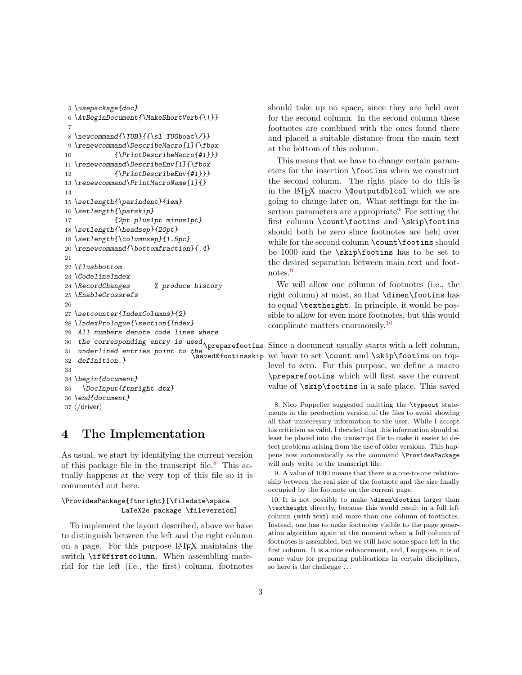```
5 \usepackage{doc}
6 \AtBeginDocument{\MakeShortVerb{\|}}
7
8 \newcommand{\TUB}{{\sl TUGboat\/}}
9 \renewcommand\DescribeMacro[1]{\fbox
10 {\PrintDescribeMacro{#1}}}
11 \renewcommand\DescribeEnv[1]{\fbox
12 {\PrintDescribeEnv{#1}}13 \renewcommand\PrintMacroName[1]{}
14
15 \setlength{\parindent}{1em}
16 \setlength{\parskip}
17 {2pt plus1pt minus1pt}
18 \setlength{\headsep}{20pt}
19 \setlength{\columnsep}{1.5pc}
20 \renewcommand{\bottomfraction}{.4}
21
22 \flushbottom
23 \CodelineIndex
24 \RecordChanges % produce history
25 \EnableCrossrefs
26
27 \setcounter{IndexColumns}{2}
28 \IndexPrologue{\section{Index}
29 All numbers denote code lines where
30 the corresponding entry is used, preparefootins Since a document usually starts with a left column,
31 underlined entries point to the
31 definition.}<br>32 definition.}
33
34 \begin{document}
35 \DocInput{ftnright.dtx}
36 \end{document}
37 ⟨/driver⟩
```

```
4 The Implementation
```
As usual, we start by identifying the current version of this package file in the transcript file.<sup>[8](#page-2-0)</sup> This actually happens at the very top of this file so it is commented out here.

#### \ProvidesPackage{ftnright}[\filedate\space LaTeX2e package \fileversion]

To implement the layout described, above we have to distinguish between the left and the right column on a page. For this purpose LATEX maintains the switch \if@firstcolumn. When assembling material for the left (i.e., the first) column, footnotes

should take up no space, since they are held over for the second column. In the second column these footnotes are combined with the ones found there and placed a suitable distance from the main text at the bottom of this column.

This means that we have to change certain parameters for the insertion \footins when we construct the second column. The right place to do this is in the L<sup>A</sup>T<sub>E</sub>X macro **\@outputdblcol** which we are going to change later on. What settings for the insertion parameters are appropriate? For setting the first column \count\footins and \skip\footins should both be zero since footnotes are held over while for the second column \count\footins should be 1000 and the \skip\footins has to be set to the desired separation between main text and footnotes.[9](#page-2-1)

We will allow one column of footnotes (i.e., the right column) at most, so that \dimen\footins has to equal \textheight. In principle, it would be possible to allow for even more footnotes, but this would complicate matters enormously.[10](#page-2-2)

<span id="page-2-24"></span><span id="page-2-19"></span>level to zero. For this purpose, we define a macro \preparefootins which will first save the current value of \skip\footins in a safe place. This saved

<span id="page-2-0"></span>8. Nico Poppelier suggested omitting the \typeout statements in the production version of the files to avoid showing all that unnecessary information to the user. While I accept his criticism as valid, I decided that this information should at least be placed into the transcript file to make it easier to detect problems arising from the use of older versions. This happens now automatically as the command \ProvidesPackage will only write to the transcript file.

<span id="page-2-1"></span>9. A value of 1000 means that there is a one-to-one relationship between the real size of the footnote and the size finally occupied by the footnote on the current page.

<span id="page-2-2"></span>10. It is not possible to make \dimen\footins larger than \textheight directly, because this would result in a full left column (with text) and more than one column of footnotes. Instead, one has to make footnotes visible to the page generation algorithm again at the moment when a full column of footnotes is assembled, but we still have some space left in the first column. It is a nice enhancement, and, I suppose, it is of some value for preparing publications in certain disciplines, so here is the challenge . . .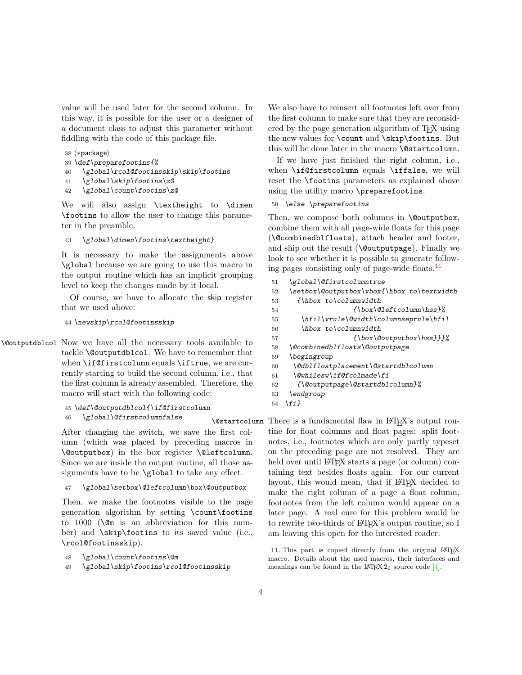<span id="page-3-25"></span>value will be used later for the second column. In this way, it is possible for the user or a designer of a document class to adjust this parameter without fiddling with the code of this package file.

```
38 ⟨∗package⟩
39 \def\preparefootins{%
40 \global\rcol@footinsskip\skip\footins
41 \global\skip\footins\z@
42 \global\count\footins\z@
```
<span id="page-3-18"></span><span id="page-3-17"></span>We will also assign \textheight to \dimen \footins to allow the user to change this parameter in the preamble.

```
43 \global\dimen\footins\textheight}
```
It is necessary to make the assignments above \global because we are going to use this macro in the output routine which has an implicit grouping level to keep the changes made by it local.

Of course, we have to allocate the skip register that we used above:

<span id="page-3-23"></span>44 \newskip\rcol@footinsskip

<span id="page-3-8"></span>\@outputdblcol Now we have all the necessary tools available to tackle \@outputdblcol. We have to remember that when \if@firstcolumn equals \iftrue, we are currently starting to build the second column, i.e., that the first column is already assembled. Therefore, the macro will start with the following code:

```
45 \def\@outputdblcol{\if@firstcolumn
46 \global\@firstcolumnfalse
```
After changing the switch, we save the first column (which was placed by preceding macros in \@outputbox) in the box register \@leftcolumn. Since we are inside the output routine, all those assignments have to be \global to take any effect.

#### <span id="page-3-3"></span>47 \global\setbox\@leftcolumn\box\@outputbox

Then, we make the footnotes visible to the page generation algorithm by setting \count\footins to 1000 (\@m is an abbreviation for this number) and \skip\footins to its saved value (i.e., \rcol@footinsskip).

```
48 \global\count\footins\@m
```

```
49 \global\skip\footins\rcol@footinsskip
```
We also have to reinsert all footnotes left over from the first column to make sure that they are reconsidered by the page generation algorithm of TFX using the new values for \count and \skip\footins. But this will be done later in the macro \@startcolumn.

If we have just finished the right column, i.e., when \if@firstcolumn equals \iffalse, we will reset the \footins parameters as explained above using the utility macro \preparefootins.

#### <span id="page-3-24"></span>50 \else \preparefootins

Then, we compose both columns in **\@outputbox**, combine them with all page-wide floats for this page (\@combinedblfloats), attach header and footer, and ship out the result  $(\text{Countputpage}).$  Finally we look to see whether it is possible to generate follow-ing pages consisting only of page-wide floats.<sup>[11](#page-3-0)</sup>

<span id="page-3-15"></span><span id="page-3-14"></span><span id="page-3-13"></span><span id="page-3-9"></span><span id="page-3-7"></span><span id="page-3-6"></span><span id="page-3-4"></span><span id="page-3-2"></span>

| 51 | \global\@firstcolumntrue                   |
|----|--------------------------------------------|
| 52 | \setbox\@outputbox\vbox{\hbox to\textwidth |
| 53 | f\hbox to\columnwidth                      |
| 54 |                                            |
| 55 | \hfil\vrule\@width\columnseprule\hfil      |
| 56 | hbox to\columnwidth\                       |
| 57 | {\box\@outputbox\hss}}}%                   |
| 58 | \@combinedblfloats\@outputpage             |
| 59 | \begingroup                                |
| 60 | \@dblfloatplacement\@startdblcolumn        |
| 61 | \@whilesw\if@fcolmade\fi                   |
| 62 | {\@outputpage\@startdblcolumn}%            |
| 63 | \endgroup                                  |
| 64 | \fi}                                       |
|    |                                            |

\@startcolumn There is a fundamental flaw in LATEX's output routine for float columns and float pages: split footnotes, i.e., footnotes which are only partly typeset on the preceding page are not resolved. They are held over until LAT<sub>EX</sub> starts a page (or column) containing text besides floats again. For our current layout, this would mean, that if LATEX decided to make the right column of a page a float column, footnotes from the left column would appear on a later page. A real cure for this problem would be to rewrite two-thirds of LATEX's output routine, so I am leaving this open for the interested reader.

> <span id="page-3-0"></span>11. This part is copied directly from the original LAT<sub>E</sub>X macro. Details about the used macros, their interfaces and meanings can be found in the LAT<sub>E</sub>X  $2\varepsilon$  source code [\[4\]](#page-8-6).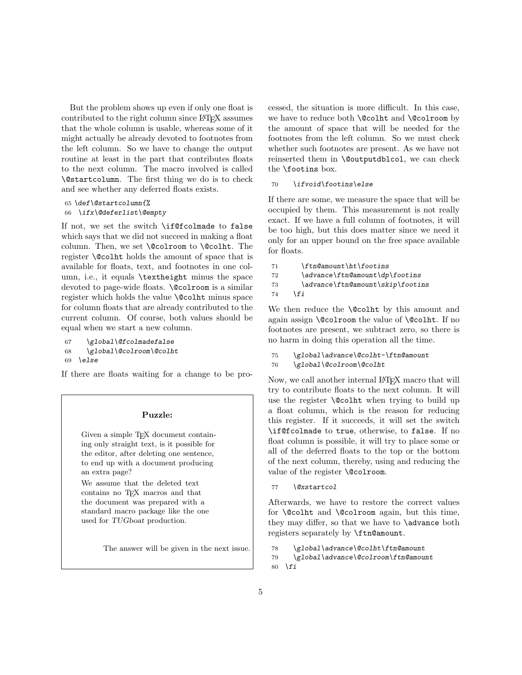But the problem shows up even if only one float is contributed to the right column since LATEX assumes that the whole column is usable, whereas some of it might actually be already devoted to footnotes from the left column. So we have to change the output routine at least in the part that contributes floats to the next column. The macro involved is called \@startcolumn. The first thing we do is to check and see whether any deferred floats exists.

```
65 \def\@startcolumn{%
66 \ifx\@deferlist\@empty
```
If not, we set the switch \if@fcolmade to false which says that we did not succeed in making a float column. Then, we set \@colroom to \@colht. The register \@colht holds the amount of space that is available for floats, text, and footnotes in one column, i.e., it equals \textheight minus the space devoted to page-wide floats. \@colroom is a similar register which holds the value \@colht minus space for column floats that are already contributed to the current column. Of course, both values should be equal when we start a new column.

```
67 \global\@fcolmadefalse
68 \global\@colroom\@colht
69 \else
```
If there are floats waiting for a change to be pro-

#### Puzzle:

Given a simple TEX document containing only straight text, is it possible for the editor, after deleting one sentence, to end up with a document producing an extra page?

We assume that the deleted text contains no TEX macros and that the document was prepared with a standard macro package like the one used for TUGboat production.

The answer will be given in the next issue.

cessed, the situation is more difficult. In this case, we have to reduce both \@colht and \@colroom by the amount of space that will be needed for the footnotes from the left column. So we must check whether such footnotes are present. As we have not reinserted them in \@outputdblcol, we can check the \footins box.

#### <span id="page-4-7"></span>70 \ifvoid\footins\else

If there are some, we measure the space that will be occupied by them. This measurement is not really exact. If we have a full column of footnotes, it will be too high, but this does matter since we need it only for an upper bound on the free space available for floats.

- <span id="page-4-8"></span>71  $\theta$ amount $\ht\of$ ootins
- <span id="page-4-9"></span>72 \advance\ftn@amount\dp\footins
- <span id="page-4-10"></span>73 \advance\ftn@amount\skip\footins
- $74$   $\overline{11}$

We then reduce the **\@colht** by this amount and again assign \@colroom the value of \@colht. If no footnotes are present, we subtract zero, so there is no harm in doing this operation all the time.

```
75 \global\advance\@colht-\ftn@amount
76 \global\@colroom\@colht
```
Now, we call another internal LAT<sub>EX</sub> macro that will try to contribute floats to the next column. It will use the register **\@colht** when trying to build up a float column, which is the reason for reducing this register. If it succeeds, it will set the switch \if@fcolmade to true, otherwise, to false. If no float column is possible, it will try to place some or all of the deferred floats to the top or the bottom of the next column, thereby, using and reducing the value of the register \@colroom.

```
77 \@xstartcol
```
Afterwards, we have to restore the correct values for \@colht and \@colroom again, but this time, they may differ, so that we have to \advance both registers separately by \ftn@amount.

```
78 \global\advance\@colht\ftn@amount
```

```
79 \global\advance\@colroom\ftn@amount
```

```
80 \overline{f}
```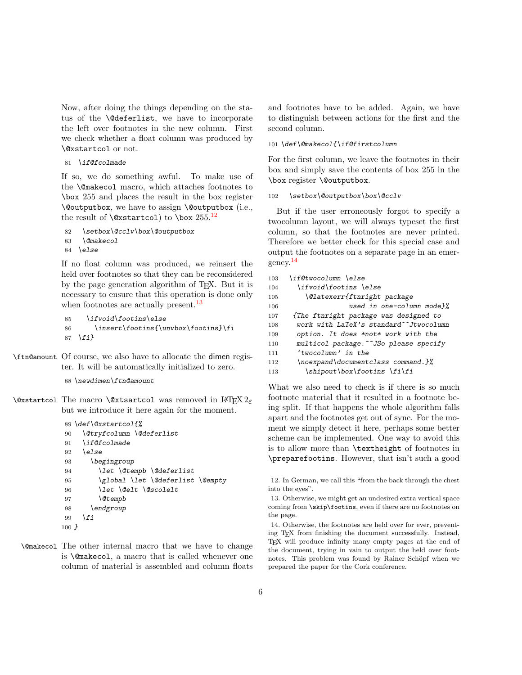<span id="page-5-24"></span>Now, after doing the things depending on the status of the \@deferlist, we have to incorporate the left over footnotes in the new column. First we check whether a float column was produced by \@xstartcol or not.

```
81 \if@fcolmade
```
If so, we do something awful. To make use of the \@makecol macro, which attaches footnotes to \box 255 and places the result in the box register \@outputbox, we have to assign \@outputbox (i.e., the result of  $\Qxstarcc01$  to  $\boxtimes 255$ .<sup>[12](#page-5-0)</sup>

```
82 \setbox\@cclv\box\@outputbox
83 \@makecol
84 \else
```
If no float column was produced, we reinsert the held over footnotes so that they can be reconsidered by the page generation algorithm of TEX. But it is necessary to ensure that this operation is done only when footnotes are actually present.<sup>[13](#page-5-1)</sup>

```
85 \ifvoid\footins\else
86 \insert\footins{\unvbox\footins}\fi
87 \fi}
```
<span id="page-5-18"></span>\ftn@amount Of course, we also have to allocate the dimen register. It will be automatically initialized to zero.

<span id="page-5-23"></span>88 \newdimen\ftn@amount

<span id="page-5-12"></span>\@xstartcol The macro \@xtsartcol was removed in  $\text{LTr}X 2_{\epsilon}$ but we introduce it here again for the moment.

```
89 \def\@xstartcol{%
90 \@tryfcolumn \@deferlist
91 \if@fcolmade
92 \else
93 \begingroup
94 \let \@tempb \@deferlist
95 \global \let \@deferlist \@empty
96 \let \@elt \@scolelt
97 \@tempb
98 \endgroup
99 \{f_i\}100 }
```
<span id="page-5-10"></span><span id="page-5-8"></span>\@makecol The other internal macro that we have to change is \@makecol, a macro that is called whenever one column of material is assembled and column floats and footnotes have to be added. Again, we have to distinguish between actions for the first and the second column.

#### <span id="page-5-21"></span>101 \def\@makecol{\if@firstcolumn

For the first column, we leave the footnotes in their box and simply save the contents of box 255 in the \box register \@outputbox.

<span id="page-5-4"></span>102 \setbox\@outputbox\box\@cclv

But if the user erroneously forgot to specify a twocolumn layout, we will always typeset the first column, so that the footnotes are never printed. Therefore we better check for this special case and output the footnotes on a separate page in an emergency.[14](#page-5-2)

<span id="page-5-22"></span><span id="page-5-16"></span><span id="page-5-6"></span>

| \if@twocolumn \else                             |
|-------------------------------------------------|
| \ifvoid\footins \else                           |
| <i><u><b>©latexerr{ftnright</b></u></i> package |
| used in one-column mode}%                       |
| {The ftnright package was designed to           |
| work with LaTeX's standard^^Jtwocolumn          |
| option. It does *not* work with the             |
| multicol package. ^^JSo please specify          |
| 'twocolumn' in the                              |
| $\no{expand\documentclass command.}$            |
| \shipout\box\footins \fi\fi                     |
|                                                 |

<span id="page-5-17"></span><span id="page-5-13"></span>What we also need to check is if there is so much footnote material that it resulted in a footnote being split. If that happens the whole algorithm falls apart and the footnotes get out of sync. For the moment we simply detect it here, perhaps some better scheme can be implemented. One way to avoid this is to allow more than \textheight of footnotes in \preparefootins. However, that isn't such a good

<span id="page-5-0"></span><sup>12.</sup> In German, we call this "from the back through the chest into the eyes".

<span id="page-5-1"></span><sup>13.</sup> Otherwise, we might get an undesired extra vertical space coming from \skip\footins, even if there are no footnotes on the page.

<span id="page-5-2"></span><sup>14.</sup> Otherwise, the footnotes are held over for ever, preventing TEX from finishing the document successfully. Instead, TEX will produce infinity many empty pages at the end of the document, trying in vain to output the held over footnotes. This problem was found by Rainer Schöpf when we prepared the paper for the Cork conference.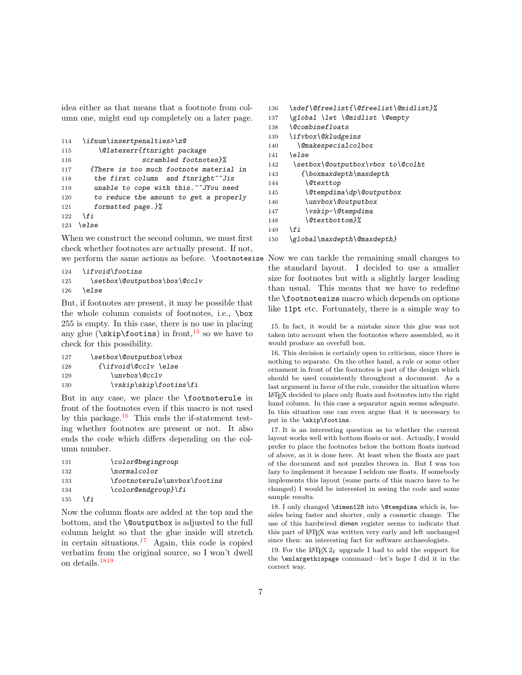<span id="page-6-25"></span>idea either as that means that a footnote from column one, might end up completely on a later page.

```
114 \ifnum\insertpenalties>\z@
115 \@latexerr{ftnright package
116 scrambled footnotes}%
117 {There is too much footnote material in
118 the first column and ftnright<sup>**</sup>Jis
119 unable to cope with this.^^JYou need
120 to reduce the amount to get a properly
121 formatted page.}%
122 \overline{f}123 \else
```
When we construct the second column, we must first check whether footnotes are actually present. If not, we perform the same actions as before.

```
124 \ifvoid\footins
125 \setbox\@outputbox\box\@cclv
126 \else
```
But, if footnotes are present, it may be possible that the whole column consists of footnotes, i.e., \box 255 is empty. In this case, there is no use in placing any glue ( $\sin\theta$ ) in front,<sup>[15](#page-6-0)</sup> so we have to check for this possibility.

<span id="page-6-13"></span><span id="page-6-7"></span><span id="page-6-6"></span>

| 127 | \setbox\@outputbox\vbox |
|-----|-------------------------|
| 128 | f\ifvoid\@cclv \else    |
| 129 | \unvbox\@cclv           |
| 130 | \vskip\skip\footins\fi  |

<span id="page-6-20"></span>But in any case, we place the \footnoterule in front of the footnotes even if this macro is not used by this package. $16$  This ends the if-statement testing whether footnotes are present or not. It also ends the code which differs depending on the column number.

<span id="page-6-24"></span><span id="page-6-21"></span><span id="page-6-17"></span>

| 131 |     | \color@begingroup            |
|-----|-----|------------------------------|
| 132 |     | $\texttt{normalcolor}$       |
| 133 |     | \footnoterule\unvbox\footins |
| 134 |     | \color@endgroup}\fi          |
| 135 | \fi |                              |

<span id="page-6-18"></span>Now the column floats are added at the top and the bottom, and the \@outputbox is adjusted to the full column height so that the glue inside will stretch in certain situations.<sup>[17](#page-6-2)</sup> Again, this code is copied verbatim from the original source, so I won't dwell on details.[18](#page-6-3)[19](#page-6-4)

```
136 \xdef\@freelist{\@freelist\@midlist}%
137 \global \let \@midlist \@empty
138 \@combinefloats
139 \ifvbox\@kludgeins
140 \@makespecialcolbox
141 \else
142 \setbox\@outputbox\vbox to\@colht
143 {\boxmaxdepth\maxdepth
144 \Otexttop
145 \@tempdima\dp\@outputbox
146 \unvbox\@outputbox
147 \vskip-\@tempdima
148 \@textbottom}%
149 \{f_i\}
```
<span id="page-6-16"></span><span id="page-6-15"></span><span id="page-6-14"></span><span id="page-6-12"></span>150 \global\maxdepth\@maxdepth}

<span id="page-6-22"></span>Now we can tackle the remaining small changes to the standard layout. I decided to use a smaller size for footnotes but with a slightly larger leading than usual. This means that we have to redefine the \footnotesize macro which depends on options like 11pt etc. Fortunately, there is a simple way to

<span id="page-6-0"></span>15. In fact, it would be a mistake since this glue was not taken into account when the footnotes where assembled, so it would produce an overfull box.

<span id="page-6-1"></span>16. This decision is certainly open to criticism, since there is nothing to separate. On the other hand, a rule or some other ornament in front of the footnotes is part of the design which should be used consistently throughout a document. As a last argument in favor of the rule, consider the situation where LATEX decided to place only floats and footnotes into the right hand column. In this case a separator again seems adequate. In this situation one can even argue that it is necessary to put in the \skip\footins.

<span id="page-6-2"></span>17. It is an interesting question as to whether the current layout works well with bottom floats or not. Actually, I would prefer to place the footnotes below the bottom floats instead of above, as it is done here. At least when the floats are part of the document and not puzzles thrown in. But I was too lazy to implement it because I seldom use floats. If somebody implements this layout (some parts of this macro have to be changed) I would be interested in seeing the code and some sample results.

<span id="page-6-3"></span>18. I only changed \dimen128 into \@tempdima which is, besides being faster and shorter, only a cosmetic change. The use of this hardwired dimen register seems to indicate that this part of LATEX was written very early and left unchanged since then: an interesting fact for software archaeologists.

<span id="page-6-4"></span>19. For the LAT<sub>E</sub>X  $2\varepsilon$  upgrade I had to add the support for the \enlargethispage command—let's hope I did it in the correct way.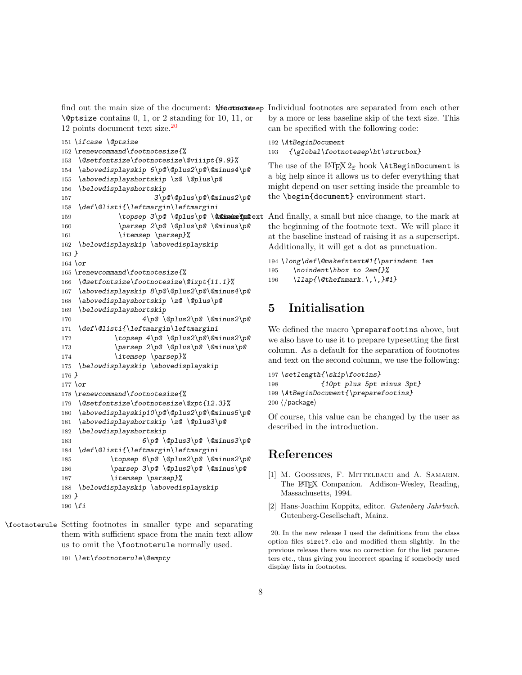\@ptsize contains 0, 1, or 2 standing for 10, 11, or 12 points document text size.[20](#page-7-2)

```
151 \ifcase \@ptsize
152 \renewcommand\footnotesize{%
153 \@setfontsize\footnotesize\@viiipt{9.9}%
154 \abovedisplayskip 6\p@\@plus2\p@\@minus4\p@
155 \abovedisplayshortskip \z@ \@plus\p@
156 \belowdisplayshortskip
157 3\p@\@plus\p@\@minus2\p@
158 \def\@listi{\leftmargin\leftmargini
159 \topsep 3\p@ \@plus\p@ \@make\fm@ext
160 \parsep 2\p@ \@plus\p@ \@minus\p@
161 \itemsep \parsep}%
162 \belowdisplayskip \abovedisplayskip
163 }
164 \or
165 \renewcommand\footnotesize{%
166 \@setfontsize\footnotesize\@ixpt{11.1}%
167 \abovedisplayskip 8\p@\@plus2\p@\@minus4\p@
168 \abovedisplayshortskip \z@ \@plus\p@
169 \belowdisplayshortskip
170 4\p@ \@plus2\p@ \@minus2\p@
171 \def\@listi{\leftmargin\leftmargini
172 \topsep 4\p@ \@plus2\p@\@minus2\p@
173 \parsep 2\p@ \@plus\p@ \@minus\p@
174 \itemsep \parsep}%
175 \belowdisplayskip \abovedisplayskip
176 }
177 \or
178 \renewcommand\footnotesize{%
179 \@setfontsize\footnotesize\@xpt{12.3}%
180 \abovedisplayskip10\p@\@plus2\p@\@minus5\p@
181 \abovedisplayshortskip \z@ \@plus3\p@
182 \belowdisplayshortskip
183 6\p@ \@plus3\p@ \@minus3\p@
184 \def\@listi{\leftmargin\leftmargini
185 \topsep 6\p@ \@plus2\p@ \@minus2\p@
186 \parsep 3\p@ \@plus2\p@ \@minus\p@
187 \itemsep \parsep}%
188 \belowdisplayskip \abovedisplayskip
189 }
```

```
190 \fi
```
<span id="page-7-35"></span>\footnoterule Setting footnotes in smaller type and separating them with sufficient space from the main text allow us to omit the \footnoterule normally used.

```
191 \let\footnoterule\@empty
```
<span id="page-7-45"></span>find out the main size of the document: **Mocnizaties** individual footnotes are separated from each other by a more or less baseline skip of the text size. This can be specified with the following code:

```
192 \AtBeginDocument
193 {\global\footnotesep\ht\strutbox}
```
The use of the LATEX  $2 \epsilon$  hook  $\lambda$ tBeginDocument is a big help since it allows us to defer everything that might depend on user setting inside the preamble to the \begin{document} environment start.

<span id="page-7-7"></span>And finally, a small but nice change, to the mark at the beginning of the footnote text. We will place it at the baseline instead of raising it as a superscript. Additionally, it will get a dot as punctuation.

```
194 \long\def\@makefntext#1{\parindent 1em
195 \noindent\hbox to 2em{}%
196 \llap{\@thefnmark.\,\,}#1}
```
# 5 Initialisation

We defined the macro \preparefootins above, but we also have to use it to prepare typesetting the first column. As a default for the separation of footnotes and text on the second column, we use the following:

```
197 \setlength{\skip\footins}
198 {10pt plus 5pt minus 3pt}
199 \AtBeginDocument{\preparefootins}
200 ⟨/package⟩
```
Of course, this value can be changed by the user as described in the introduction.

# References

- <span id="page-7-1"></span>[1] M. GOOSSENS, F. MITTELBACH and A. SAMARIN. The L<sup>AT</sup>EX Companion. Addison-Wesley, Reading, Massachusetts, 1994.
- <span id="page-7-0"></span>[2] Hans-Joachim Koppitz, editor. Gutenberg Jahrbuch. Gutenberg-Gesellschaft, Mainz.

<span id="page-7-2"></span>20. In the new release I used the definitions from the class option files size1?.clo and modified them slightly. In the previous release there was no correction for the list parameters etc., thus giving you incorrect spacing if somebody used display lists in footnotes.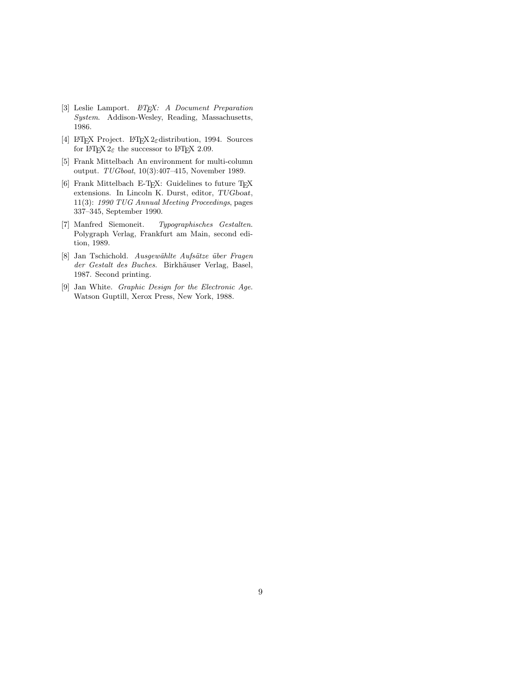- <span id="page-8-5"></span>[3] Leslie Lamport.  $\mathbb{P}T_{E}X: A$  Document Preparation System. Addison-Wesley, Reading, Massachusetts, 1986.
- <span id="page-8-6"></span>[4] LAT<sub>E</sub>X Project. LAT<sub>E</sub>X 2<sub> $\varepsilon$ </sub> distribution, 1994. Sources for LAT<sub>E</sub>X  $2\varepsilon$  the successor to LAT<sub>E</sub>X 2.09.
- <span id="page-8-0"></span>[5] Frank Mittelbach An environment for multi-column output. TUGboat, 10(3):407–415, November 1989.
- <span id="page-8-1"></span>[6] Frank Mittelbach E-T<sub>E</sub>X: Guidelines to future T<sub>E</sub>X extensions. In Lincoln K. Durst, editor, TUGboat, 11(3): 1990 TUG Annual Meeting Proceedings, pages 337–345, September 1990.
- <span id="page-8-4"></span>[7] Manfred Siemoneit. Typographisches Gestalten. Polygraph Verlag, Frankfurt am Main, second edition, 1989.
- <span id="page-8-3"></span>[8] Jan Tschichold. Ausgewählte Aufsätze über Fragen der Gestalt des Buches. Birkhäuser Verlag, Basel, 1987. Second printing.
- <span id="page-8-2"></span>[9] Jan White. Graphic Design for the Electronic Age. Watson Guptill, Xerox Press, New York, 1988.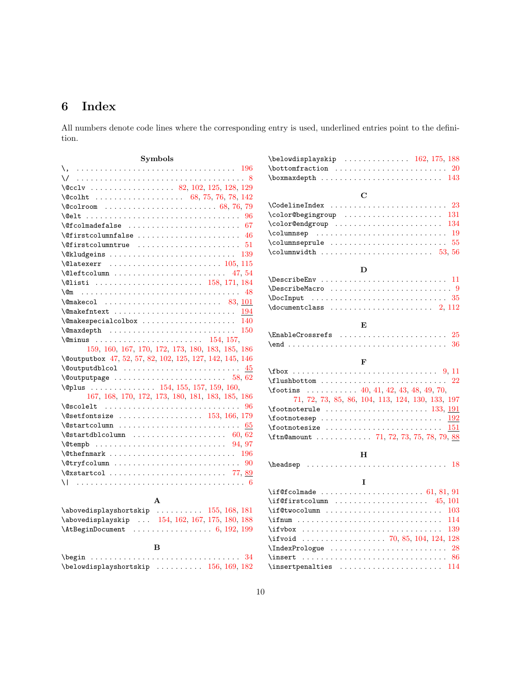# 6 Index

All numbers denote code lines where the corresponding entry is used, underlined entries point to the definition.

| Symbols                                                                             |
|-------------------------------------------------------------------------------------|
| \,                                                                                  |
| \ / _                                                                               |
| $\sqrt{cclv}$ 82, 102, 125, 128, 129                                                |
| \@colht  68, 75, 76, 78, 142                                                        |
|                                                                                     |
| \@elt<br>96                                                                         |
|                                                                                     |
| $\setminus$ @firstcolumnfalse  46                                                   |
| $\setminus$ @firstcolumntrue  51                                                    |
| 139                                                                                 |
|                                                                                     |
|                                                                                     |
| \@listi  158,171,184                                                                |
| \@m<br>48                                                                           |
| $\{\n{\texttt{Qmakecol}} \dots \dots \dots \dots \dots \dots \dots \quad 83, 101\}$ |
| \@makefntext<br>194                                                                 |
| \@makespecialcolbox<br>140                                                          |
| \@maxdepth<br>150                                                                   |
| $\text{Cominus}$ 154.157.                                                           |
| 159, 160, 167, 170, 172, 173, 180, 183, 185, 186                                    |
| \@outputbox 47, 52, 57, 82, 102, 125, 127, 142, 145, 146                            |
| $\sqrt{$<br>45                                                                      |
|                                                                                     |
| $\Q$ plus  154, 155, 157, 159, 160,                                                 |
| 167, 168, 170, 172, 173, 180, 181, 183, 185, 186                                    |
| 96                                                                                  |
| $\text{V}\$ setfontsize  153, 166, 179                                              |
| \@startcolumn<br>65                                                                 |
|                                                                                     |
| <b>\@tempb</b>                                                                      |
| 196                                                                                 |
| $\text{Qtryfcolumn} \dots \dots \dots \dots \dots \dots \dots \dots$<br>90          |
| \@xstartcol  77,89                                                                  |
| N.                                                                                  |

#### A

| \abovedisplayshortskip  155, 168, 181           |  |  |  |  |  |  |
|-------------------------------------------------|--|--|--|--|--|--|
| \abovedisplayskip  154, 162, 167, 175, 180, 188 |  |  |  |  |  |  |
|                                                 |  |  |  |  |  |  |

### $\, {\bf B}$

| $\begin{array}{ccc}\n\text{begin}134\n\end{array}$ |  |  |  |  |  |  |  |  |
|----------------------------------------------------|--|--|--|--|--|--|--|--|
| $\begin{bmatrix} \beta, 169, 182 \end{bmatrix}$    |  |  |  |  |  |  |  |  |

| $\begin{array}{ccc}\n\text{belowdisplaying} & \dots & \dots & \dots & 162, 175, 188\n\end{array}$ |  |
|---------------------------------------------------------------------------------------------------|--|
| $\cdot$ $\cdot$ $(20)$                                                                            |  |
|                                                                                                   |  |
|                                                                                                   |  |
| $\mathbf C$                                                                                       |  |
| $\text{CodelineIndex} \dots \dots \dots \dots \dots \dots \dots \dots \ 23$                       |  |
|                                                                                                   |  |
| \color@endgroup  134                                                                              |  |
| $\column sep \dots \dots \dots \dots \dots \dots \dots \dots \dots \dots \dots$                   |  |
| \columnseprule<br>55                                                                              |  |
|                                                                                                   |  |
|                                                                                                   |  |
| D                                                                                                 |  |
|                                                                                                   |  |
|                                                                                                   |  |
|                                                                                                   |  |
|                                                                                                   |  |
| Е                                                                                                 |  |
| $\verb \EnableCrossrefs   \dots   \dots   \dots   \ 25$                                           |  |
|                                                                                                   |  |
|                                                                                                   |  |
| $\mathbf{F}$                                                                                      |  |
| $\text{Ybox} \dots \dots \dots \dots \dots \dots \dots \dots \dots \dots \dots \dots \dots \dots$ |  |
|                                                                                                   |  |
| $\text{1} 42, 43, 48, 49, 70,$                                                                    |  |
| 71, 72, 73, 85, 86, 104, 113, 124, 130, 133, 197                                                  |  |
|                                                                                                   |  |
| $\setminus$ footnotesep<br>192                                                                    |  |
| \footnotesize<br>151                                                                              |  |
| \ftn@amount  71, 72, 73, 75, 78, 79, 88                                                           |  |
|                                                                                                   |  |
| H                                                                                                 |  |
| - 18                                                                                              |  |
| I                                                                                                 |  |
| $\iint@f colmade$ 61, 81, 91                                                                      |  |
| $\left\{\text{if@first column} \dots \dots \dots \dots \dots \quad 45, 101\right\}$               |  |
|                                                                                                   |  |
| \if@twocolumn<br>103                                                                              |  |
| \ifnum<br>114                                                                                     |  |
|                                                                                                   |  |
| \ifvbox<br>139                                                                                    |  |
|                                                                                                   |  |
| $\{\texttt{IndexPrologue} \dots \dots \dots \dots \dots \dots \ 28\}$                             |  |
| $\{insert \dots \dots \dots \dots \dots \dots \dots \dots \ 86$<br>\insertpenalties<br>114        |  |